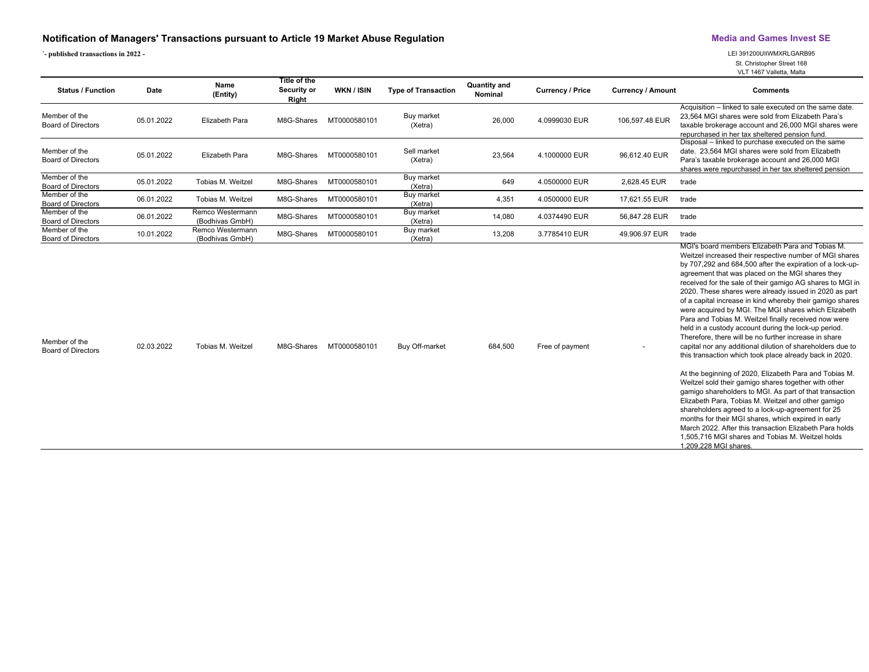## **Notification of Managers' Transactions pursuant to Article 19 Market Abuse Regulation Media and Games Invest SE**

**´- published transactions in 2022 -** LEI 391200UIIWMXRLGARB95

St. Christopher Street 168

VLT 1467 Valletta, Malta

| <b>Status / Function</b>                   | Date       | Name<br>(Entity)                    | Title of the<br>Security or<br>Right | WKN / ISIN   | <b>Type of Transaction</b> | <b>Quantity and</b><br>Nominal | <b>Currency / Price</b> | <b>Currency / Amount</b> | <b>Comments</b>                                                                                                                                                                                                                                                                                                                                                                                                                                                                                                                                                                                                                                                                                                                                                                                                                                                                                                                                                                                                                                                                                                                                                                                                                                                   |
|--------------------------------------------|------------|-------------------------------------|--------------------------------------|--------------|----------------------------|--------------------------------|-------------------------|--------------------------|-------------------------------------------------------------------------------------------------------------------------------------------------------------------------------------------------------------------------------------------------------------------------------------------------------------------------------------------------------------------------------------------------------------------------------------------------------------------------------------------------------------------------------------------------------------------------------------------------------------------------------------------------------------------------------------------------------------------------------------------------------------------------------------------------------------------------------------------------------------------------------------------------------------------------------------------------------------------------------------------------------------------------------------------------------------------------------------------------------------------------------------------------------------------------------------------------------------------------------------------------------------------|
| Member of the<br><b>Board of Directors</b> | 05.01.2022 | <b>Elizabeth Para</b>               | M8G-Shares                           | MT0000580101 | Buy market<br>(Xetra)      | 26,000                         | 4.0999030 EUR           | 106,597.48 EUR           | Acquisition - linked to sale executed on the same date.<br>23,564 MGI shares were sold from Elizabeth Para's<br>taxable brokerage account and 26,000 MGI shares were<br>repurchased in her tax sheltered pension fund.                                                                                                                                                                                                                                                                                                                                                                                                                                                                                                                                                                                                                                                                                                                                                                                                                                                                                                                                                                                                                                            |
| Member of the<br><b>Board of Directors</b> | 05.01.2022 | <b>Elizabeth Para</b>               | M8G-Shares                           | MT0000580101 | Sell market<br>(Xetra)     | 23,564                         | 4.1000000 EUR           | 96,612.40 EUR            | Disposal - linked to purchase executed on the same<br>date. 23,564 MGI shares were sold from Elizabeth<br>Para's taxable brokerage account and 26,000 MGI<br>shares were repurchased in her tax sheltered pension                                                                                                                                                                                                                                                                                                                                                                                                                                                                                                                                                                                                                                                                                                                                                                                                                                                                                                                                                                                                                                                 |
| Member of the<br><b>Board of Directors</b> | 05.01.2022 | Tobias M. Weitzel                   | M8G-Shares                           | MT0000580101 | Buy market<br>(Xetra)      | 649                            | 4.0500000 EUR           | 2,628.45 EUR             | trade                                                                                                                                                                                                                                                                                                                                                                                                                                                                                                                                                                                                                                                                                                                                                                                                                                                                                                                                                                                                                                                                                                                                                                                                                                                             |
| Member of the<br><b>Board of Directors</b> | 06.01.2022 | Tobias M. Weitzel                   | M8G-Shares                           | MT0000580101 | Buy market<br>(Xetra)      | 4,351                          | 4.0500000 EUR           | 17,621.55 EUR            | trade                                                                                                                                                                                                                                                                                                                                                                                                                                                                                                                                                                                                                                                                                                                                                                                                                                                                                                                                                                                                                                                                                                                                                                                                                                                             |
| Member of the<br>Board of Directors        | 06.01.2022 | Remco Westermann<br>(Bodhivas GmbH) | M8G-Shares                           | MT0000580101 | Buy market<br>(Xetra)      | 14,080                         | 4.0374490 EUR           | 56,847.28 EUR            | trade                                                                                                                                                                                                                                                                                                                                                                                                                                                                                                                                                                                                                                                                                                                                                                                                                                                                                                                                                                                                                                                                                                                                                                                                                                                             |
| Member of the<br><b>Board of Directors</b> | 10.01.2022 | Remco Westermann<br>(Bodhivas GmbH) | M8G-Shares                           | MT0000580101 | Buy market<br>(Xetra)      | 13,208                         | 3.7785410 EUR           | 49,906.97 EUR            | trade                                                                                                                                                                                                                                                                                                                                                                                                                                                                                                                                                                                                                                                                                                                                                                                                                                                                                                                                                                                                                                                                                                                                                                                                                                                             |
| Member of the<br><b>Board of Directors</b> | 02.03.2022 | Tobias M. Weitzel                   | M8G-Shares                           | MT0000580101 | Buy Off-market             | 684,500                        | Free of payment         |                          | MGI's board members Elizabeth Para and Tobias M.<br>Weitzel increased their respective number of MGI shares<br>by 707,292 and 684,500 after the expiration of a lock-up-<br>agreement that was placed on the MGI shares they<br>received for the sale of their gamigo AG shares to MGI in<br>2020. These shares were already issued in 2020 as part<br>of a capital increase in kind whereby their gamigo shares<br>were acquired by MGI. The MGI shares which Elizabeth<br>Para and Tobias M. Weitzel finally received now were<br>held in a custody account during the lock-up period.<br>Therefore, there will be no further increase in share<br>capital nor any additional dilution of shareholders due to<br>this transaction which took place already back in 2020.<br>At the beginning of 2020, Elizabeth Para and Tobias M.<br>Weitzel sold their gamigo shares together with other<br>gamigo shareholders to MGI. As part of that transaction<br>Elizabeth Para, Tobias M. Weitzel and other gamigo<br>shareholders agreed to a lock-up-agreement for 25<br>months for their MGI shares, which expired in early<br>March 2022. After this transaction Elizabeth Para holds<br>1.505.716 MGI shares and Tobias M. Weitzel holds<br>1.209.228 MGI shares. |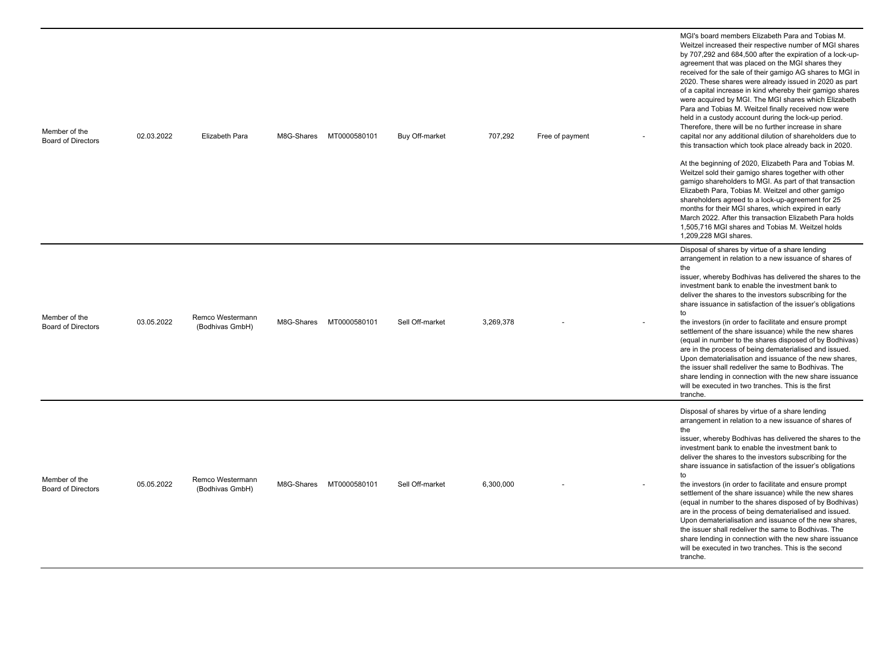| Member of the<br><b>Board of Directors</b> | 02.03.2022 | Elizabeth Para                      | M8G-Shares | MT0000580101            | Buy Off-market  | 707,292   | Free of payment | MGI's board members Elizabeth Para and Tobias M.<br>Weitzel increased their respective number of MGI shares<br>by 707,292 and 684,500 after the expiration of a lock-up-<br>agreement that was placed on the MGI shares they<br>received for the sale of their gamigo AG shares to MGI in<br>2020. These shares were already issued in 2020 as part<br>of a capital increase in kind whereby their gamigo shares<br>were acquired by MGI. The MGI shares which Elizabeth<br>Para and Tobias M. Weitzel finally received now were<br>held in a custody account during the lock-up period.<br>Therefore, there will be no further increase in share<br>capital nor any additional dilution of shareholders due to<br>this transaction which took place already back in 2020.<br>At the beginning of 2020, Elizabeth Para and Tobias M.<br>Weitzel sold their gamigo shares together with other<br>gamigo shareholders to MGI. As part of that transaction<br>Elizabeth Para, Tobias M. Weitzel and other gamigo<br>shareholders agreed to a lock-up-agreement for 25<br>months for their MGI shares, which expired in early<br>March 2022. After this transaction Elizabeth Para holds<br>1,505,716 MGI shares and Tobias M. Weitzel holds<br>1,209,228 MGI shares. |
|--------------------------------------------|------------|-------------------------------------|------------|-------------------------|-----------------|-----------|-----------------|-------------------------------------------------------------------------------------------------------------------------------------------------------------------------------------------------------------------------------------------------------------------------------------------------------------------------------------------------------------------------------------------------------------------------------------------------------------------------------------------------------------------------------------------------------------------------------------------------------------------------------------------------------------------------------------------------------------------------------------------------------------------------------------------------------------------------------------------------------------------------------------------------------------------------------------------------------------------------------------------------------------------------------------------------------------------------------------------------------------------------------------------------------------------------------------------------------------------------------------------------------------------|
| Member of the<br><b>Board of Directors</b> | 03.05.2022 | Remco Westermann<br>(Bodhivas GmbH) |            | M8G-Shares MT0000580101 | Sell Off-market | 3,269,378 |                 | Disposal of shares by virtue of a share lending<br>arrangement in relation to a new issuance of shares of<br>the<br>issuer, whereby Bodhivas has delivered the shares to the<br>investment bank to enable the investment bank to<br>deliver the shares to the investors subscribing for the<br>share issuance in satisfaction of the issuer's obligations<br>to<br>the investors (in order to facilitate and ensure prompt<br>settlement of the share issuance) while the new shares<br>(equal in number to the shares disposed of by Bodhivas)<br>are in the process of being dematerialised and issued.<br>Upon dematerialisation and issuance of the new shares,<br>the issuer shall redeliver the same to Bodhivas. The<br>share lending in connection with the new share issuance<br>will be executed in two tranches. This is the first<br>tranche.                                                                                                                                                                                                                                                                                                                                                                                                         |
| Member of the<br><b>Board of Directors</b> | 05.05.2022 | Remco Westermann<br>(Bodhivas GmbH) | M8G-Shares | MT0000580101            | Sell Off-market | 6,300,000 |                 | Disposal of shares by virtue of a share lending<br>arrangement in relation to a new issuance of shares of<br>the<br>issuer, whereby Bodhivas has delivered the shares to the<br>investment bank to enable the investment bank to<br>deliver the shares to the investors subscribing for the<br>share issuance in satisfaction of the issuer's obligations<br>to<br>the investors (in order to facilitate and ensure prompt<br>settlement of the share issuance) while the new shares<br>(equal in number to the shares disposed of by Bodhivas)<br>are in the process of being dematerialised and issued.<br>Upon dematerialisation and issuance of the new shares,<br>the issuer shall redeliver the same to Bodhivas. The<br>share lending in connection with the new share issuance<br>will be executed in two tranches. This is the second<br>tranche.                                                                                                                                                                                                                                                                                                                                                                                                        |